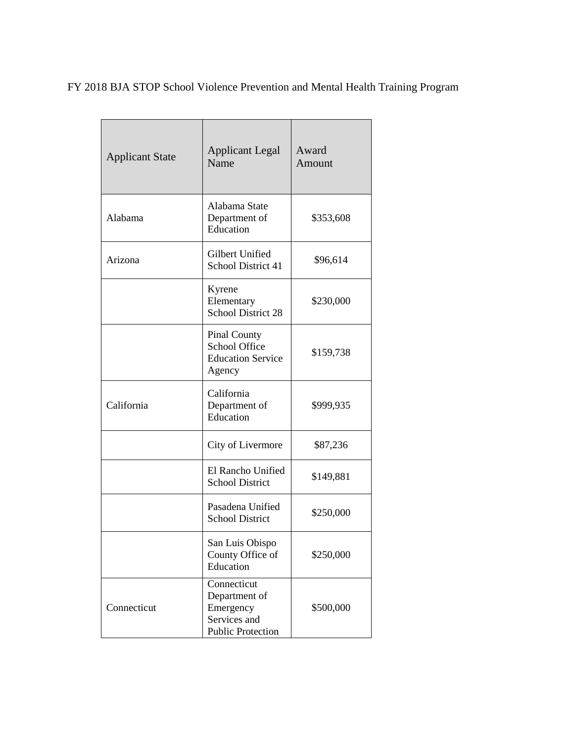FY 2018 BJA STOP School Violence Prevention and Mental Health Training Program

| <b>Applicant State</b> | <b>Applicant Legal</b><br>Name                                                        | Award<br>Amount |
|------------------------|---------------------------------------------------------------------------------------|-----------------|
| Alabama                | Alabama State<br>Department of<br>Education                                           | \$353,608       |
| Arizona                | Gilbert Unified<br>School District 41                                                 | \$96,614        |
|                        | Kyrene<br>Elementary<br>School District 28                                            | \$230,000       |
|                        | <b>Pinal County</b><br>School Office<br><b>Education Service</b><br>Agency            | \$159,738       |
| California             | California<br>Department of<br>Education                                              | \$999,935       |
|                        | City of Livermore                                                                     | \$87,236        |
|                        | El Rancho Unified<br><b>School District</b>                                           | \$149,881       |
|                        | Pasadena Unified<br><b>School District</b>                                            | \$250,000       |
|                        | San Luis Obispo<br>County Office of<br>Education                                      | \$250,000       |
| Connecticut            | Connecticut<br>Department of<br>Emergency<br>Services and<br><b>Public Protection</b> | \$500,000       |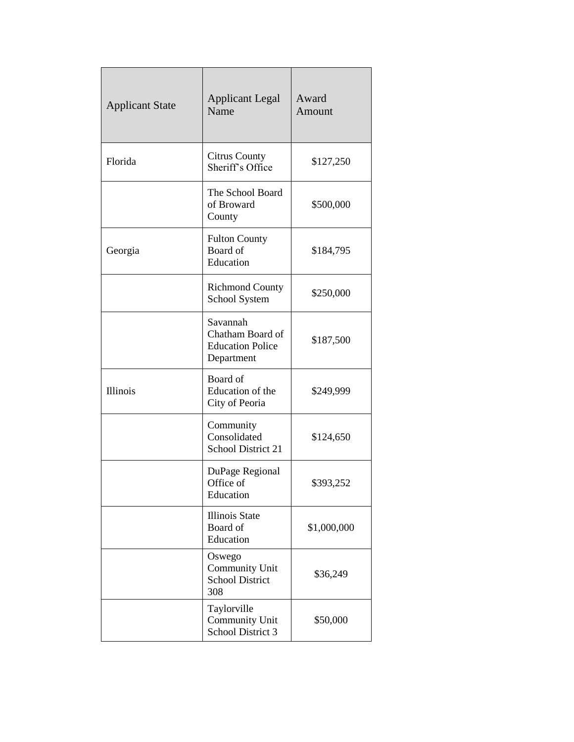| <b>Applicant State</b> | <b>Applicant Legal</b><br>Name                                        | Award<br>Amount |
|------------------------|-----------------------------------------------------------------------|-----------------|
| Florida                | <b>Citrus County</b><br>Sheriff's Office                              | \$127,250       |
|                        | The School Board<br>of Broward<br>County                              | \$500,000       |
| Georgia                | <b>Fulton County</b><br>Board of<br>Education                         | \$184,795       |
|                        | <b>Richmond County</b><br>School System                               | \$250,000       |
|                        | Savannah<br>Chatham Board of<br><b>Education Police</b><br>Department | \$187,500       |
| Illinois               | Board of<br>Education of the<br>City of Peoria                        | \$249,999       |
|                        | Community<br>Consolidated<br>School District 21                       | \$124,650       |
|                        | DuPage Regional<br>Office of<br>Education                             | \$393,252       |
|                        | <b>Illinois State</b><br>Board of<br>Education                        | \$1,000,000     |
|                        | Oswego<br>Community Unit<br><b>School District</b><br>308             | \$36,249        |
|                        | Taylorville<br>Community Unit<br>School District 3                    | \$50,000        |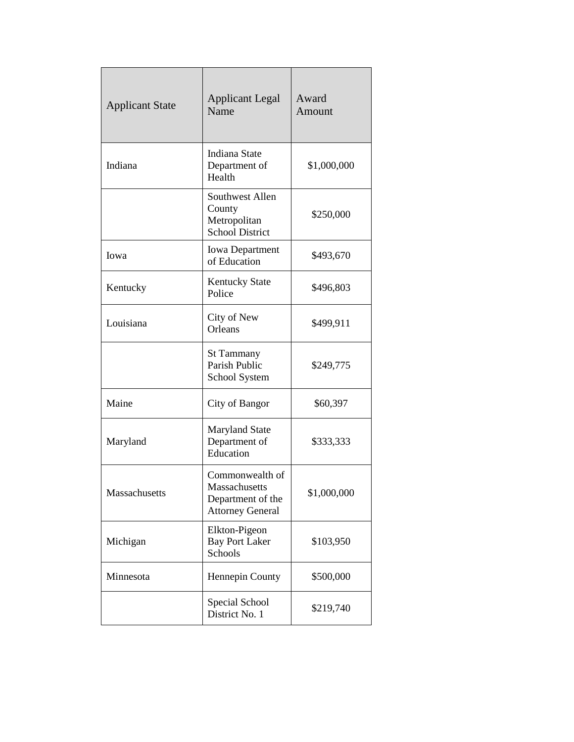| <b>Applicant State</b> | <b>Applicant Legal</b><br>Name                                                   | Award<br>Amount |
|------------------------|----------------------------------------------------------------------------------|-----------------|
| Indiana                | Indiana State<br>Department of<br>Health                                         | \$1,000,000     |
|                        | Southwest Allen<br>County<br>Metropolitan<br><b>School District</b>              | \$250,000       |
| Iowa                   | <b>Iowa Department</b><br>of Education                                           | \$493,670       |
| Kentucky               | <b>Kentucky State</b><br>Police                                                  | \$496,803       |
| Louisiana              | City of New<br>Orleans                                                           | \$499,911       |
|                        | <b>St Tammany</b><br>Parish Public<br>School System                              | \$249,775       |
| Maine                  | City of Bangor                                                                   | \$60,397        |
| Maryland               | <b>Maryland State</b><br>Department of<br>Education                              | \$333,333       |
| Massachusetts          | Commonwealth of<br>Massachusetts<br>Department of the<br><b>Attorney General</b> | \$1,000,000     |
| Michigan               | Elkton-Pigeon<br><b>Bay Port Laker</b><br>Schools                                | \$103,950       |
| Minnesota              | Hennepin County                                                                  | \$500,000       |
|                        | Special School<br>District No. 1                                                 | \$219,740       |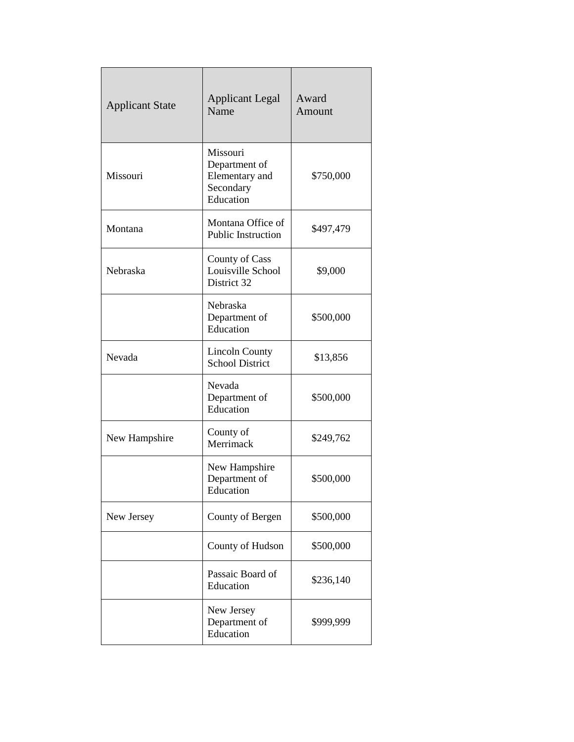| <b>Applicant State</b> | <b>Applicant Legal</b><br>Name                                        | Award<br>Amount |
|------------------------|-----------------------------------------------------------------------|-----------------|
| Missouri               | Missouri<br>Department of<br>Elementary and<br>Secondary<br>Education | \$750,000       |
| Montana                | Montana Office of<br><b>Public Instruction</b>                        | \$497,479       |
| Nebraska               | County of Cass<br>Louisville School<br>District 32                    | \$9,000         |
|                        | Nebraska<br>Department of<br>Education                                | \$500,000       |
| Nevada                 | <b>Lincoln County</b><br><b>School District</b>                       | \$13,856        |
|                        | Nevada<br>Department of<br>Education                                  | \$500,000       |
| New Hampshire          | County of<br>Merrimack                                                | \$249,762       |
|                        | New Hampshire<br>Department of<br>Education                           | \$500,000       |
| New Jersey             | County of Bergen                                                      | \$500,000       |
|                        | County of Hudson                                                      | \$500,000       |
|                        | Passaic Board of<br>Education                                         | \$236,140       |
|                        | New Jersey<br>Department of<br>Education                              | \$999,999       |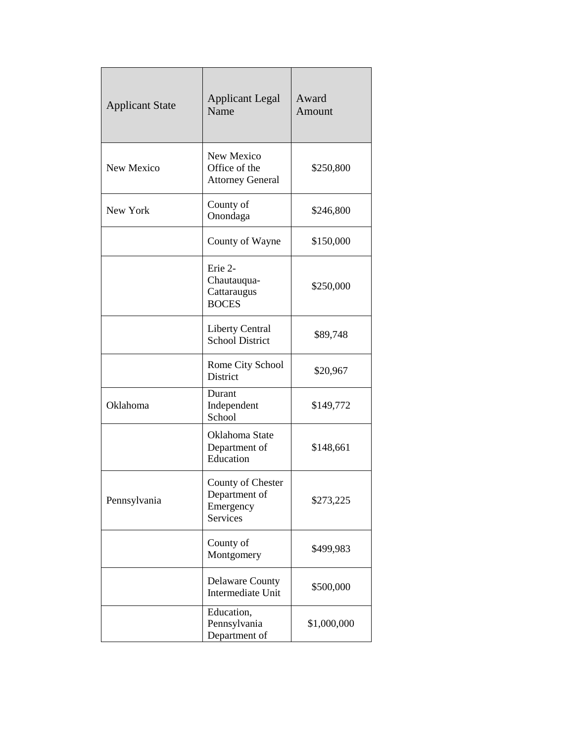| <b>Applicant State</b> | <b>Applicant Legal</b><br>Name                              | Award<br>Amount |
|------------------------|-------------------------------------------------------------|-----------------|
| New Mexico             | New Mexico<br>Office of the<br><b>Attorney General</b>      | \$250,800       |
| New York               | County of<br>Onondaga                                       | \$246,800       |
|                        | County of Wayne                                             | \$150,000       |
|                        | Erie 2-<br>Chautauqua-<br>Cattaraugus<br><b>BOCES</b>       | \$250,000       |
|                        | <b>Liberty Central</b><br><b>School District</b>            | \$89,748        |
|                        | Rome City School<br>District                                | \$20,967        |
| Oklahoma               | Durant<br>Independent<br>School                             | \$149,772       |
|                        | Oklahoma State<br>Department of<br>Education                | \$148,661       |
| Pennsylvania           | County of Chester<br>Department of<br>Emergency<br>Services | \$273,225       |
|                        | County of<br>Montgomery                                     | \$499,983       |
|                        | <b>Delaware County</b><br>Intermediate Unit                 | \$500,000       |
|                        | Education,<br>Pennsylvania<br>Department of                 | \$1,000,000     |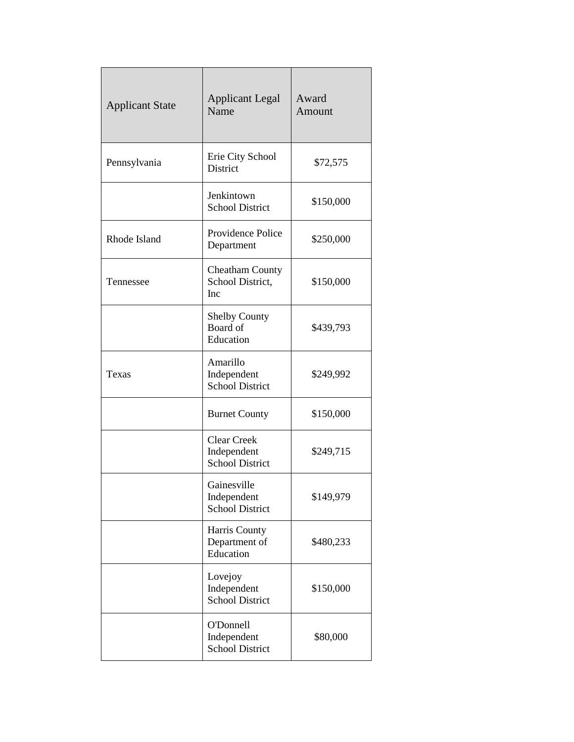| <b>Applicant State</b> | <b>Applicant Legal</b><br>Name                              | Award<br>Amount |
|------------------------|-------------------------------------------------------------|-----------------|
| Pennsylvania           | Erie City School<br>District                                | \$72,575        |
|                        | Jenkintown<br><b>School District</b>                        | \$150,000       |
| Rhode Island           | Providence Police<br>Department                             | \$250,000       |
| Tennessee              | <b>Cheatham County</b><br>School District,<br>Inc           | \$150,000       |
|                        | <b>Shelby County</b><br>Board of<br>Education               | \$439,793       |
| Texas                  | Amarillo<br>Independent<br><b>School District</b>           | \$249,992       |
|                        | <b>Burnet County</b>                                        | \$150,000       |
|                        | <b>Clear Creek</b><br>Independent<br><b>School District</b> | \$249,715       |
|                        | Gainesville<br>Independent<br><b>School District</b>        | \$149,979       |
|                        | Harris County<br>Department of<br>Education                 | \$480,233       |
|                        | Lovejoy<br>Independent<br><b>School District</b>            | \$150,000       |
|                        | O'Donnell<br>Independent<br><b>School District</b>          | \$80,000        |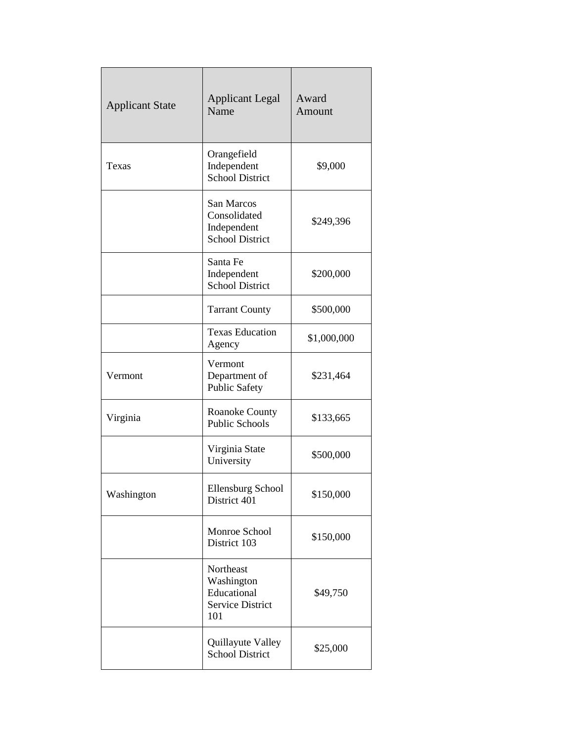| <b>Applicant State</b> | <b>Applicant Legal</b><br>Name                                           | Award<br>Amount |
|------------------------|--------------------------------------------------------------------------|-----------------|
| Texas                  | Orangefield<br>Independent<br><b>School District</b>                     | \$9,000         |
|                        | San Marcos<br>Consolidated<br>Independent<br><b>School District</b>      | \$249,396       |
|                        | Santa Fe<br>Independent<br><b>School District</b>                        | \$200,000       |
|                        | <b>Tarrant County</b>                                                    | \$500,000       |
|                        | <b>Texas Education</b><br>Agency                                         | \$1,000,000     |
| Vermont                | Vermont<br>Department of<br><b>Public Safety</b>                         | \$231,464       |
| Virginia               | <b>Roanoke County</b><br><b>Public Schools</b>                           | \$133,665       |
|                        | Virginia State<br>University                                             | \$500,000       |
| Washington             | <b>Ellensburg School</b><br>District 401                                 | \$150,000       |
|                        | Monroe School<br>District 103                                            | \$150,000       |
|                        | Northeast<br>Washington<br>Educational<br><b>Service District</b><br>101 | \$49,750        |
|                        | Quillayute Valley<br><b>School District</b>                              | \$25,000        |